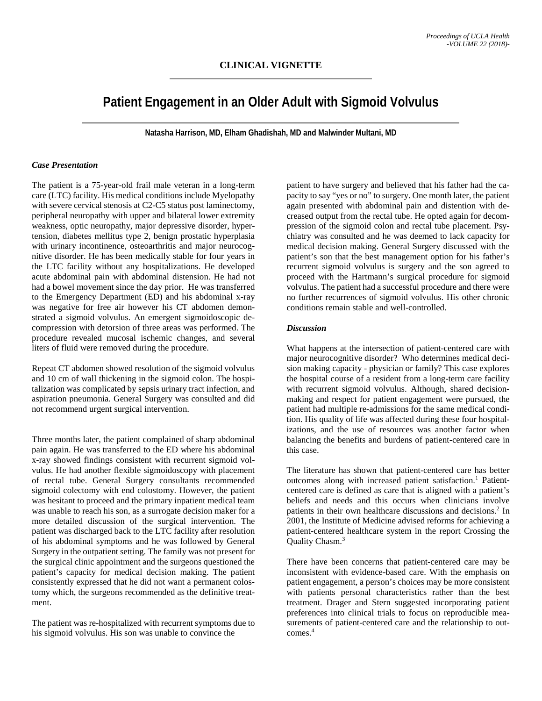## **CLINICAL VIGNETTE**

# **Patient Engagement in an Older Adult with Sigmoid Volvulus**

**Natasha Harrison, MD, Elham Ghadishah, MD and Malwinder Multani, MD**

#### *Case Presentation*

The patient is a 75-year-old frail male veteran in a long-term care (LTC) facility. His medical conditions include Myelopathy with severe cervical stenosis at C2-C5 status post laminectomy, peripheral neuropathy with upper and bilateral lower extremity weakness, optic neuropathy, major depressive disorder, hypertension, diabetes mellitus type 2, benign prostatic hyperplasia with urinary incontinence, osteoarthritis and major neurocognitive disorder. He has been medically stable for four years in the LTC facility without any hospitalizations. He developed acute abdominal pain with abdominal distension. He had not had a bowel movement since the day prior. He was transferred to the Emergency Department (ED) and his abdominal x-ray was negative for free air however his CT abdomen demonstrated a sigmoid volvulus. An emergent sigmoidoscopic decompression with detorsion of three areas was performed. The procedure revealed mucosal ischemic changes, and several liters of fluid were removed during the procedure.

Repeat CT abdomen showed resolution of the sigmoid volvulus and 10 cm of wall thickening in the sigmoid colon. The hospitalization was complicated by sepsis urinary tract infection, and aspiration pneumonia. General Surgery was consulted and did not recommend urgent surgical intervention.

Three months later, the patient complained of sharp abdominal pain again. He was transferred to the ED where his abdominal x-ray showed findings consistent with recurrent sigmoid volvulus. He had another flexible sigmoidoscopy with placement of rectal tube. General Surgery consultants recommended sigmoid colectomy with end colostomy. However, the patient was hesitant to proceed and the primary inpatient medical team was unable to reach his son, as a surrogate decision maker for a more detailed discussion of the surgical intervention. The patient was discharged back to the LTC facility after resolution of his abdominal symptoms and he was followed by General Surgery in the outpatient setting. The family was not present for the surgical clinic appointment and the surgeons questioned the patient's capacity for medical decision making. The patient consistently expressed that he did not want a permanent colostomy which, the surgeons recommended as the definitive treatment.

The patient was re-hospitalized with recurrent symptoms due to his sigmoid volvulus. His son was unable to convince the

patient to have surgery and believed that his father had the capacity to say "yes or no" to surgery. One month later, the patient again presented with abdominal pain and distention with decreased output from the rectal tube. He opted again for decompression of the sigmoid colon and rectal tube placement. Psychiatry was consulted and he was deemed to lack capacity for medical decision making. General Surgery discussed with the patient's son that the best management option for his father's recurrent sigmoid volvulus is surgery and the son agreed to proceed with the Hartmann's surgical procedure for sigmoid volvulus. The patient had a successful procedure and there were no further recurrences of sigmoid volvulus. His other chronic conditions remain stable and well-controlled.

#### *Discussion*

What happens at the intersection of patient-centered care with major neurocognitive disorder? Who determines medical decision making capacity - physician or family? This case explores the hospital course of a resident from a long-term care facility with recurrent sigmoid volvulus. Although, shared decisionmaking and respect for patient engagement were pursued, the patient had multiple re-admissions for the same medical condition. His quality of life was affected during these four hospitalizations, and the use of resources was another factor when balancing the benefits and burdens of patient-centered care in this case.

The literature has shown that patient-centered care has better outcomes along with increased patient satisfaction. <sup>1</sup> Patientcentered care is defined as care that is aligned with a patient's beliefs and needs and this occurs when clinicians involve patients in their own healthcare discussions and decisions. <sup>2</sup> In 2001, the Institute of Medicine advised reforms for achieving a patient-centered healthcare system in the report Crossing the Quality Chasm. 3

There have been concerns that patient-centered care may be inconsistent with evidence-based care. With the emphasis on patient engagement, a person's choices may be more consistent with patients personal characteristics rather than the best treatment. Drager and Stern suggested incorporating patient preferences into clinical trials to focus on reproducible measurements of patient-centered care and the relationship to outcomes. 4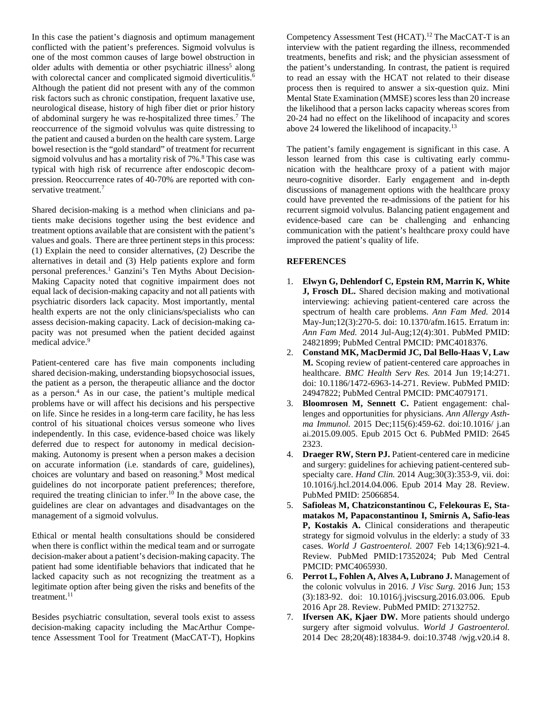In this case the patient's diagnosis and optimum management conflicted with the patient's preferences. Sigmoid volvulus is one of the most common causes of large bowel obstruction in older adults with dementia or other psychiatric illness<sup>5</sup> along with colorectal cancer and complicated sigmoid diverticulitis.<sup>6</sup> Although the patient did not present with any of the common risk factors such as chronic constipation, frequent laxative use, neurological disease, history of high fiber diet or prior history of abdominal surgery he was re-hospitalized three times. <sup>7</sup> The reoccurrence of the sigmoid volvulus was quite distressing to the patient and caused a burden on the health care system. Large bowel resection is the "gold standard" of treatment for recurrent sigmoid volvulus and has a mortality risk of 7%. <sup>8</sup> This case was typical with high risk of recurrence after endoscopic decompression. Reoccurrence rates of 40-70% are reported with conservative treatment. 7

Shared decision-making is a method when clinicians and patients make decisions together using the best evidence and treatment options available that are consistent with the patient's values and goals. There are three pertinent steps in this process: (1) Explain the need to consider alternatives, (2) Describe the alternatives in detail and (3) Help patients explore and form personal preferences. <sup>1</sup> Ganzini's Ten Myths About Decision-Making Capacity noted that cognitive impairment does not equal lack of decision-making capacity and not all patients with psychiatric disorders lack capacity. Most importantly, mental health experts are not the only clinicians/specialists who can assess decision-making capacity. Lack of decision-making capacity was not presumed when the patient decided against medical advice. 9

Patient-centered care has five main components including shared decision-making, understanding biopsychosocial issues, the patient as a person, the therapeutic alliance and the doctor as a person. <sup>4</sup> As in our case, the patient's multiple medical problems have or will affect his decisions and his perspective on life. Since he resides in a long-term care facility, he has less control of his situational choices versus someone who lives independently. In this case, evidence-based choice was likely deferred due to respect for autonomy in medical decisionmaking. Autonomy is present when a person makes a decision on accurate information (i.e. standards of care, guidelines), choices are voluntary and based on reasoning. <sup>9</sup> Most medical guidelines do not incorporate patient preferences; therefore, required the treating clinician to infer. <sup>10</sup> In the above case, the guidelines are clear on advantages and disadvantages on the management of a sigmoid volvulus.

Ethical or mental health consultations should be considered when there is conflict within the medical team and or surrogate decision-maker about a patient's decision-making capacity. The patient had some identifiable behaviors that indicated that he lacked capacity such as not recognizing the treatment as a legitimate option after being given the risks and benefits of the treatment.<sup>11</sup>

Besides psychiatric consultation, several tools exist to assess decision-making capacity including the MacArthur Competence Assessment Tool for Treatment (MacCAT-T), Hopkins Competency Assessment Test (HCAT). <sup>12</sup> The MacCAT-T is an interview with the patient regarding the illness, recommended treatments, benefits and risk; and the physician assessment of the patient's understanding. In contrast, the patient is required to read an essay with the HCAT not related to their disease process then is required to answer a six-question quiz. Mini Mental State Examination (MMSE) scores less than 20 increase the likelihood that a person lacks capacity whereas scores from 20-24 had no effect on the likelihood of incapacity and scores above 24 lowered the likelihood of incapacity.<sup>13</sup>

The patient's family engagement is significant in this case. A lesson learned from this case is cultivating early communication with the healthcare proxy of a patient with major neuro-cognitive disorder. Early engagement and in-depth discussions of management options with the healthcare proxy could have prevented the re-admissions of the patient for his recurrent sigmoid volvulus. Balancing patient engagement and evidence-based care can be challenging and enhancing communication with the patient's healthcare proxy could have improved the patient's quality of life.

### **REFERENCES**

- 1. **Elwyn G, Dehlendorf C, Epstein RM, Marrin K, White J, Frosch DL.** Shared decision making and motivational interviewing: achieving patient-centered care across the spectrum of health care problems. *Ann Fam Med.* 2014 May-Jun;12(3):270-5. doi: 10.1370/afm.1615. Erratum in: *Ann Fam Med.* 2014 Jul-Aug;12(4):301. PubMed PMID: 24821899; PubMed Central PMCID: PMC4018376.
- 2. **Constand MK, MacDermid JC, Dal Bello-Haas V, Law M.** Scoping review of patient-centered care approaches in healthcare. *BMC Health Serv Res.* 2014 Jun 19;14:271. doi: 10.1186/1472-6963-14-271. Review. PubMed PMID: 24947822; PubMed Central PMCID: PMC4079171.
- 3. **Bloomrosen M, Sennett C.** Patient engagement: challenges and opportunities for physicians. *Ann Allergy Asthma Immunol.* 2015 Dec;115(6):459-62. doi:10.1016/ j.an ai.2015.09.005. Epub 2015 Oct 6. PubMed PMID: 2645 2323.
- 4. **Draeger RW, Stern PJ.** Patient-centered care in medicine and surgery: guidelines for achieving patient-centered subspecialty care. *Hand Clin.* 2014 Aug;30(3):353-9, vii. doi: 10.1016/j.hcl.2014.04.006. Epub 2014 May 28. Review. PubMed PMID: 25066854.
- 5. **Safioleas M, Chatziconstantinou C, Felekouras E, Stamatakos M, Papaconstantinou I, Smirnis A, Safio-leas P, Kostakis A.** Clinical considerations and therapeutic strategy for sigmoid volvulus in the elderly: a study of 33 cases. *World J Gastroenterol.* 2007 Feb 14;13(6):921-4. Review. PubMed PMID:17352024; Pub Med Central PMCID: PMC4065930.
- 6. **Perrot L, Fohlen A, Alves A, Lubrano J.** Management of the colonic volvulus in 2016. *J Visc Surg.* 2016 Jun; 153 (3):183-92. doi: 10.1016/j.jviscsurg.2016.03.006. Epub 2016 Apr 28. Review. PubMed PMID: 27132752.
- 7. **Ifversen AK, Kjaer DW.** More patients should undergo surgery after sigmoid volvulus. *World J Gastroenterol.* 2014 Dec 28;20(48):18384-9. doi:10.3748 /wjg.v20.i4 8.